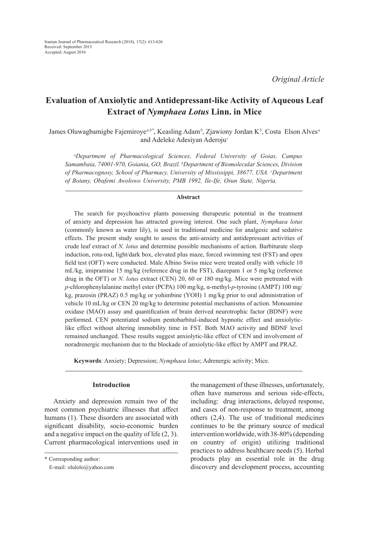*Original Article*

# **Evaluation of Anxiolytic and Antidepressant-like Activity of Aqueous Leaf Extract of** *Nymphaea Lotus* **Linn. in Mice**

James Oluwagbamigbe Fajemiroye*a,b\**, Keasling Adam*<sup>b</sup>* , Zjawiony Jordan K*<sup>b</sup>* , Costa Elson Alves*<sup>a</sup>* and Adeleke Adesiyan Aderoju*<sup>c</sup>*

*a Department of Pharmacological Sciences, Federal University of Goias, Campus Samambaia, 74001-970, Goiania, GO, Brazil. b Department of Biomolecular Sciences, Division*  of Pharmacognosy, School of Pharmacy, University of Mississippi, 38677, USA. *Department of Botany, Obafemi Awolowo University, PMB 1992, Ile-Ife, Osun State, Nigeria.*

#### **Abstract**

The search for psychoactive plants possessing therapeutic potential in the treatment of anxiety and depression has attracted growing interest. One such plant, *Nymphaea lotus* (commonly known as water lily), is used in traditional medicine for analgesic and sedative effects. The present study sought to assess the anti-anxiety and antidepressant activities of crude leaf extract of *N. lotus* and determine possible mechanisms of action. Barbiturate sleep induction, rota-rod, light/dark box, elevated plus maze, forced swimming test (FST) and open field test (OFT) were conducted. Male Albino Swiss mice were treated orally with vehicle 10 mL/kg, imipramine 15 mg/kg (reference drug in the FST), diazepam 1 or 5 mg/kg (reference drug in the OFT) or *N. lotus* extract (CEN) 20, 60 or 180 mg/kg. Mice were pretreated with *p*-chlorophenylalanine methyl ester (PCPA) 100 mg/kg, α-methyl-*p*-tyrosine (AMPT) 100 mg/ kg, prazosin (PRAZ) 0.5 mg/kg or yohimbine (YOH) 1 mg/kg prior to oral administration of vehicle 10 mL/kg or CEN 20 mg/kg to determine potential mechanisms of action. Monoamine oxidase (MAO) assay and quantification of brain derived neurotrophic factor (BDNF) were performed. CEN potentiated sodium pentobarbital-induced hypnotic effect and anxiolyticlike effect without altering immobility time in FST. Both MAO activity and BDNF level remained unchanged. These results suggest anxiolytic-like effect of CEN and involvement of noradrenergic mechanism due to the blockade of anxiolytic-like effect by AMPT and PRAZ.

**Keywords**: Anxiety; Depression; *Nymphaea lotus*; Adrenergic activity; Mice.

# **Introduction**

Anxiety and depression remain two of the most common psychiatric illnesses that affect humans (1). These disorders are associated with significant disability, socio-economic burden and a negative impact on the quality of life (2, 3). Current pharmacological interventions used in

\* Corresponding author:

the management of these illnesses, unfortunately, often have numerous and serious side-effects, including: drug interactions, delayed response, and cases of non-response to treatment, among others (2,4). The use of traditional medicines continues to be the primary source of medical intervention worldwide, with 38-80% (depending on country of origin) utilizing traditional practices to address healthcare needs (5). Herbal products play an essential role in the drug discovery and development process, accounting

E-mail: olulolo@yahoo.com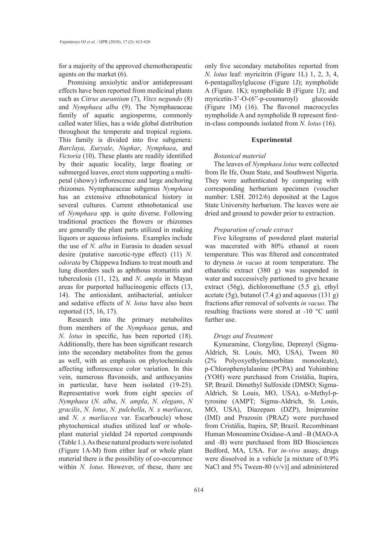for a majority of the approved chemotherapeutic agents on the market (6).

Promising anxiolytic and/or antidepressant effects have been reported from medicinal plants such as *Citrus aurantium* (7), *Vitex negundo* (8) and *Nymphaea alba* (9). The Nymphaeaceae family of aquatic angiosperms, commonly called water lilies, has a wide global distribution throughout the temperate and tropical regions. This family is divided into five subgenera: *Barclaya*, *Euryale*, *Nuphar*, *Nymphaea*, and *Victoria* (10). These plants are readily identified by their aquatic locality, large floating or submerged leaves, erect stem supporting a multipetal (showy) inflorescence and large anchoring rhizomes. Nymphaeaceae subgenus *Nymphaea* has an extensive ethnobotanical history in several cultures. Current ethnobotanical use of *Nymphaea* spp. is quite diverse. Following traditional practices the flowers or rhizomes are generally the plant parts utilized in making liquors or aqueous infusions. Examples include the use of *N. alba* in Eurasia to deaden sexual desire (putative narcotic-type effect) (11) *N. odorata* by Chippewa Indians to treat mouth and lung disorders such as aphthous stomatitis and tuberculosis (11, 12), and *N. ampla* in Mayan areas for purported hallucinogenic effects (13, 14). The antioxidant, antibacterial, antiulcer and sedative effects of *N. lotus* have also been reported (15, 16, 17).

Research into the primary metabolites from members of the *Nymphaea* genus, and *N. lotus* in specific, has been reported (18). Additionally, there has been significant research into the secondary metabolites from the genus as well, with an emphasis on phytochemicals affecting inflorescence color variation. In this vein, numerous flavonoids, and anthocyanins in particular, have been isolated (19-25). Representative work from eight species of *Nymphaea* (*N. alba*, *N. ampla*, *N. elegans*, *N gracilis*, *N. lotus*, *N. pulchella*, *N. x marliacea*, and *N. x marliacea* var. Escarboucle) whose phytochemical studies utilized leaf or wholeplant material yielded 24 reported compounds (Table 1.). As these natural products were isolated (Figure 1A-M) from either leaf or whole plant material there is the possibility of co-occurrence within *N. lotus.* However, of these, there are

only five secondary metabolites reported from *N. lotus* leaf: myricitrin (Figure 1L) 1, 2, 3, 4, 6-pentagalloylglucose (Figure 1J); nympholide A (Figure. 1K); nympholide B (Figure 1J); and myricetin-3'-O-(6"-p-coumaroyl) glucoside (Figure 1M) (16). The flavonol macrocycles nympholide A and nympholide B represent firstin-class compounds isolated from *N. lotus* (16).

#### **Experimental**

#### *Botanical material*

The leaves of *Nymphaea lotus* were collected from Ile Ife, Osun State, and Southwest Nigeria. They were authenticated by comparing with corresponding herbarium specimen (voucher number: LSH. 2012/6) deposited at the Lagos State University herbarium. The leaves were air dried and ground to powder prior to extraction.

## *Preparation of crude extract*

Five kilograms of powdered plant material was macerated with 80% ethanol at room temperature. This was filtered and concentrated to dryness *in vacuo* at room temperature. The ethanolic extract (380 g) was suspended in water and successively partioned to give hexane extract (56g), dichloromethane (5.5 g), ethyl acetate (5g), butanol (7.4 g) and aqueous (131 g) fractions after removal of solvents *in vacuo*. The resulting fractions were stored at -10 °C until further use.

# *Drugs and Treatment*

Kynuramine, Clorgyline, Deprenyl (Sigma-Aldrich, St. Louis, MO, USA), Tween 80 (2% Polyoxyethylenesorbitan monooleate), p-Chlorophenylalanine (PCPA) and Yohimbine (YOH) were purchased from Cristália, Itapira, SP, Brazil. Dimethyl Sulfoxide (DMSO; Sigma-Aldrich, St Louis, MO, USA), α-Methyl-ptyrosine (AMPT; Sigma-Aldrich, St. Louis, MO, USA), Diazepam (DZP), Imipramine (IMI) and Prazosin (PRAZ) were purchased from Cristália, Itapira, SP, Brazil. Recombinant Human Monoamine Oxidase-A and –B (MAO-A and -B) were purchased from BD Biosciences Bedford, MA, USA. For *in-vivo* assay, drugs were dissolved in a vehicle [a mixture of 0.9% NaCl and 5% Tween-80 (v/v)] and administered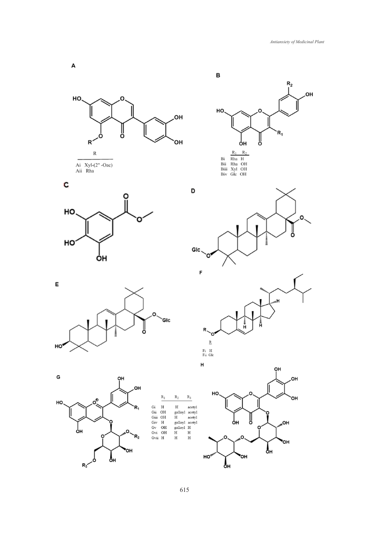

 $R_{3}$ 

ęн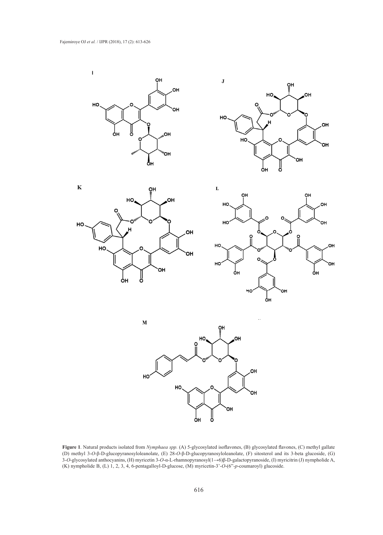







 $\bf{M}$ 



**Figure 1**. Natural products isolated from *Nymphaea spp.* (A) 5-glycosylated isoflavones, (B) glycosylated flavones, (C) methyl gallate (D) methyl 3-*O*-β-D-glucopyranosyloleanolate, (E) 28-*O*-β-D-glucopyranosyloleanolate, (F) sitosterol and its 3-beta glucoside, (G) 3-*O*-glycosylated anthocyanins, (H) myricetin 3-*O*-α-L-rhamnopyranosyl(1→6)β-D-galactopyranoside, (I) myricitrin (J) nympholide A, (K) nympholide B, (L) 1, 2, 3, 4, 6-pentagalloyl-D-glucose, (M) myricetin-3'-*O*-(6"-*p*-coumaroyl) glucoside.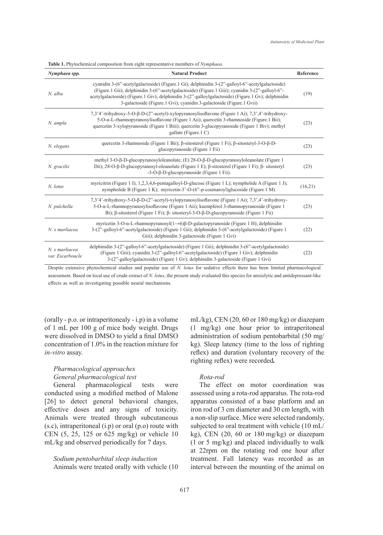*Nymphaea spp.* **Natural Product Reference** *N. alba* cyanidin 3-(6"-acetylgalactoside) (Figure.1 Gi); delphinidin 3-(2"-galloyl-6"-acetylgalactoside) (Figure.1 Gii); delphinidin 3-(6"-acetylgalactoside) (Figure.1 Giii); cyanidin 3-(2"-galloyl-6" acetylgalactoside) (Figure.1 Giv); delphinidin 3-(2"-galloylgalactoside) (Figure.1 Gv); delphinidin 3-galactoside (Figure.1 Gvi); cyanidin 3-galactoside (Figure.1 Gvii) (19) *N. ampla* 7,3'4'-trihydroxy-5-O-β-D-(2"-acetyl)-xylopyranosylisoflavone (Figure 1 Ai); 7,3',4'-trihydroxy-5-O-α-L-rhamnopyranosylisoflavone (Figure 1 Aii); quercetin 3-rhamnoside (Figure.1 Bii); quercetin 3-xylopyranoside (Figure 1 Biii); quercetin 3-glucopyranoside (Figure 1 Biv); methyl gallate (Figure.1 C) (23) *N. elegans* quercetin 3-rhamnoside (Figure 1 Bii); β-sitosterol (Figure 1 Fi); β-sitosteryl-3-O-β-Dglucopyranoside (Figure 1 Fii)  $(23)$ <br>glucopyranoside (Figure 1 Fii) *N. gracilis* methyl 3-O-β-D-glucopyranosyloleanolate, (E) 28-O-β-D-glucopyranosyloleanolate (Figure 1 Dii); 28-O-β-D-glucopyranosyl-oleanolate (Figure 1 E); β-sitosterol (Figure 1 Fi); β- sitosteryl -3-O-β-D-glucopyranoside (Figure 1 Fii). (23) *N. lotus* myricitrin (Figure 1 I); 1,2,3,4,6-pentagalloyl-D-glucose (Figure 1 L); nympholide A (Figure 1 J); nympholide B (Figure 1 K); myricetin-3'-O-(6"-p-coumaroyl)glucoside (Figure 1 M).  $(16,21)$ *N. pulchella* 7,3'4'-trihydroxy-5-O-β-D-(2"-acetyl)-xylopyranosylisoflavone (Figure 1 Ai); 7,3',4'-trihydroxy-5-O-α-L-rhamnopyranosylisoflavone (Figure 1 Aii); kaempferol 3-rhamnopyranoside (Figure 1 Bi); β-sitosterol (Figure 1 Fi); β- sitosteryl-3-O-β-D-glucopyranoside (Figure 1 Fii) (23) *N. x marliacea* myricetin 3-O-α-L-rhamnopyranosyl(1→6)β-D-galactopyranoside (Figure 1 H); delphinidin 3-(2"-galloyl-6"-acetylgalactoside) (Figure 1 Gii); delphinidin 3-(6"-acetylgalactoside) (Figure 1 Giii); delphinidin 3-galactoside (Figure 1 Gvi) (22) *N. x marliacea var. Escarboucle* delphinidin 3-(2"-galloyl-6"-acetylgalactoside) (Figure 1 Gii); delphinidin 3-(6"-acetylgalactoside) (Figure 1 Giii); cyanidin 3-(2"-galloyl-6"-acetylgalactoside) (Figure 1 Giv); delphinidin 3-(2"-galloylgalactoside) (Figure 1 Gv); delphinidin 3-galactoside (Figure 1 Gvi) (22)

**Table 1.** Phytochemical composition from eight representative members of *Nymphaea.*

Despite extensive phytochemical studies and popular use of *N. lotus* for sedative effects there has been limited pharmacological assessment. Based on local use of crude extract of *N. lotus*, the present study evaluated this species for anxiolytic and antidepressant-like effects as well as investigating possible neural mechanisms.

(orally - p.o. or intraperitonealy - i.p) in a volume of 1 mL per 100 g of mice body weight. Drugs were dissolved in DMSO to yield a final DMSO concentration of 1.0% in the reaction mixture for *in-vitro* assay.

# *Pharmacological approaches General pharmacological test*

General pharmacological tests were conducted using a modified method of Malone [26] to detect general behavioral changes, effective doses and any signs of toxicity. Animals were treated through subcutaneous (s.c), intraperitoneal (i.p) or oral (p.o) route with CEN (5, 25, 125 or 625 mg/kg) or vehicle 10 mL/kg and observed periodically for 7 days.

*Sodium pentobarbital sleep induction* Animals were treated orally with vehicle (10 mL/kg), CEN (20, 60 or 180 mg/kg) or diazepam (1 mg/kg) one hour prior to intraperitoneal administration of sodium pentobarbital (50 mg/ kg). Sleep latency (time to the loss of righting reflex) and duration (voluntary recovery of the righting reflex) were recorded*.*

# *Rota-rod*

The effect on motor coordination was assessed using a rota-rod apparatus. The rota-rod apparatus consisted of a base platform and an iron rod of 3 cm diameter and 30 cm length, with a non-slip surface. Mice were selected randomly, subjected to oral treatment with vehicle (10 mL/ kg), CEN (20, 60 or 180 mg/kg) or diazepam (1 or 5 mg/kg) and placed individually to walk at 22rpm on the rotating rod one hour after treatment. Fall latency was recorded as an interval between the mounting of the animal on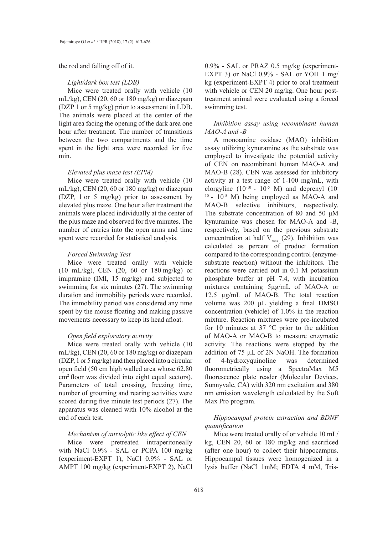the rod and falling off of it.

#### *Light/dark box test (LDB)*

Mice were treated orally with vehicle (10 mL/kg), CEN (20, 60 or 180 mg/kg) or diazepam (DZP 1 or 5 mg/kg) prior to assessment in LDB. The animals were placed at the center of the light area facing the opening of the dark area one hour after treatment. The number of transitions between the two compartments and the time spent in the light area were recorded for five min.

#### *Elevated plus maze test (EPM)*

Mice were treated orally with vehicle (10 mL/kg), CEN (20, 60 or 180 mg/kg) or diazepam (DZP, 1 or 5 mg/kg) prior to assessment by elevated plus maze. One hour after treatment the animals were placed individually at the center of the plus maze and observed for five minutes. The number of entries into the open arms and time spent were recorded for statistical analysis.

## *Forced Swimming Test*

Mice were treated orally with vehicle (10 mL/kg), CEN (20, 60 or 180 mg/kg) or imipramine (IMI, 15 mg/kg) and subjected to swimming for six minutes (27). The swimming duration and immobility periods were recorded. The immobility period was considered any time spent by the mouse floating and making passive movements necessary to keep its head afloat.

#### *Open field exploratory activity*

Mice were treated orally with vehicle (10 mL/kg), CEN (20, 60 or 180 mg/kg) or diazepam (DZP, 1 or 5 mg/kg) and then placed into a circular open field (50 cm high walled area whose 62.80 cm2 floor was divided into eight equal sectors). Parameters of total crossing, freezing time, number of grooming and rearing activities were scored during five minute test periods (27). The apparatus was cleaned with 10% alcohol at the end of each test.

# *Mechanism of anxiolytic like effect of CEN*

Mice were pretreated intraperitoneally with NaCl 0.9% - SAL or PCPA 100 mg/kg (experiment-EXPT 1), NaCl 0.9% - SAL or AMPT 100 mg/kg (experiment-EXPT 2), NaCl

0.9% - SAL or PRAZ 0.5 mg/kg (experiment-EXPT 3) or NaCl 0.9% - SAL or YOH 1 mg/ kg (experiment-EXPT 4) prior to oral treatment with vehicle or CEN 20 mg/kg. One hour posttreatment animal were evaluated using a forced swimming test.

# *Inhibition assay using recombinant human MAO-A and -B*

A monoamine oxidase (MAO) inhibition assay utilizing kynuramine as the substrate was employed to investigate the potential activity of CEN on recombinant human MAO-A and MAO-B (28). CEN was assessed for inhibitory activity at a test range of 1-100 mg/mL, with clorgyline  $(10^{-10} - 10^{-5} \text{ M})$  and deprenyl  $(10^{-10} - 10^{-5} \text{ M})$  $10 - 10^{-5}$  M) being employed as MAO-A and MAO-B selective inhibitors, respectively. The substrate concentration of 80 and 50 μM kynuramine was chosen for MAO-A and -B, respectively, based on the previous substrate concentration at half  $V_{max}$  (29). Inhibition was calculated as percent of product formation compared to the corresponding control (enzymesubstrate reaction) without the inhibitors. The reactions were carried out in 0.1 M potassium phosphate buffer at pH 7.4, with incubation mixtures containing 5µg/mL of MAO-A or 12.5 µg/mL of MAO-B. The total reaction volume was 200 µL yielding a final DMSO concentration (vehicle) of 1.0% in the reaction mixture. Reaction mixtures were pre-incubated for 10 minutes at 37  $\degree$ C prior to the addition of MAO-A or MAO-B to measure enzymatic activity. The reactions were stopped by the addition of 75 µL of 2N NaOH. The formation of 4-hydroxyquinoline was determined fluorometrically using a SpectraMax M5 fluorescence plate reader (Molecular Devices, Sunnyvale, CA) with 320 nm excitation and 380 nm emission wavelength calculated by the Soft Max Pro program.

# *Hippocampal protein extraction and BDNF quantification*

Mice were treated orally of or vehicle 10 mL/ kg, CEN 20, 60 or 180 mg/kg and sacrificed (after one hour) to collect their hippocampus. Hippocampal tissues were homogenized in a lysis buffer (NaCl 1mM; EDTA 4 mM, Tris-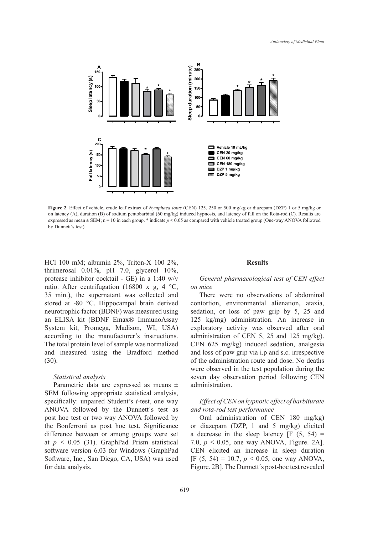

**Figure 2**. Effect of vehicle, crude leaf extract of *Nymphaea lotus* (CEN) 125, 250 or 500 mg/kg or diazepam (DZP) 1 or 5 mg/kg or on latency (A), duration (B) of sodium pentobarbital (60 mg/kg) induced hypnosis, and latency of fall on the Rota-rod (C). Results are expressed as mean  $\pm$  SEM; n = 10 in each group.  $*$  indicate  $p$  < 0.05 as compared with vehicle treated group (One-way ANOVA followed by Dunnett's test).

HCl 100 mM; albumin 2%, Triton-X 100 2%, thrimerosal 0.01%, pH 7.0, glycerol 10%, protease inhibitor cocktail - GE) in a 1:40 w/v ratio. After centrifugation (16800 x g, 4  $^{\circ}$ C, 35 min.), the supernatant was collected and stored at -80 °C. Hippocampal brain derived neurotrophic factor (BDNF) was measured using an ELISA kit (BDNF Emax® ImmunoAssay System kit, Promega, Madison, WI, USA) according to the manufacturer's instructions. The total protein level of sample was normalized and measured using the Bradford method (30).

#### *Statistical analysis*

Parametric data are expressed as means ± SEM following appropriate statistical analysis, specifically: unpaired Student's *t*-test, one way ANOVA followed by the Dunnett´s test as post hoc test or two way ANOVA followed by the Bonferroni as post hoc test. Significance difference between or among groups were set at  $p < 0.05$  (31). GraphPad Prism statistical software version 6.03 for Windows (GraphPad Software, Inc., San Diego, CA, USA) was used for data analysis.

#### **Results**

# *General pharmacological test of CEN effect on mice*

There were no observations of abdominal contortion, environmental alienation, ataxia, sedation, or loss of paw grip by 5, 25 and 125 kg/mg) administration. An increase in exploratory activity was observed after oral administration of CEN 5, 25 and 125 mg/kg). CEN 625 mg/kg) induced sedation, analgesia and loss of paw grip via i.p and s.c. irrespective of the administration route and dose. No deaths were observed in the test population during the seven day observation period following CEN administration.

# *Effect of CEN on hypnotic effect of barbiturate and rota-rod test performance*

Oral administration of CEN 180 mg/kg) or diazepam (DZP, 1 and 5 mg/kg) elicited a decrease in the sleep latency  $[F (5, 54) =$ 7.0,  $p < 0.05$ , one way ANOVA, Figure. 2A]. CEN elicited an increase in sleep duration [F (5, 54) = 10.7,  $p < 0.05$ , one way ANOVA, Figure. 2B]. The Dunnett´s post-hoc test revealed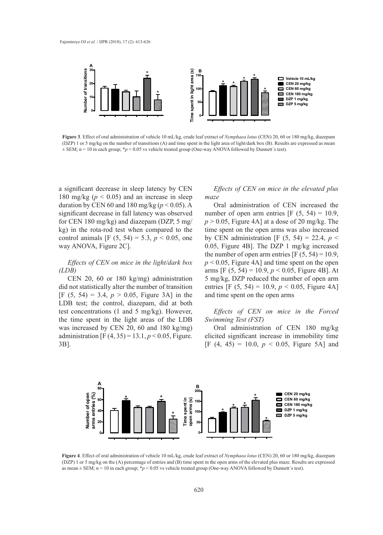

Figure 3. Effect of oral administration of vehicle 10 mL/kg, crude leaf extract of Nymphaea lotus (CEN) 20, 60 or 180 mg/kg, diazepam (DZP) 1 or 5 mg/kg on the number of transitions (A) and time spent in the light area of light/dark box (B). Results are expressed as mean  $\pm$  SEM; n = 10 in each group; \*p < 0.05 vs vehicle treated group (One-way ANOVA followed by Dunnett's test).  $\mathcal{L}$  is the semi-norm  $\mathcal{L}$  in the  $\mathcal{L}$  in each group;  $\mathcal{L}$ 

a significant decrease in sleep latency by CEN *Effects of CEN on mice in the e* 180 mg/kg ( $p < 0.05$ ) and an increase in sleep *maze* duration by CEN 60 and 180 mg/kg ( $p < 0.05$ ). A Oral administration of CEN in significant decrease in fall latency was observed **50** for CEN 180 mg/kg) and diazepam (DZP, 5 mg/ kg) in the rota-rod test when compared to the **0** control animals [F  $(5, 54) = 5.3, p < 0.05$ , one way ANOVA, Figure 2C]. **20** E<br> **C**<br> **N**<br> **C**<br> **S**<br> **f Time spend in 1**<br> **Spend in 1**<br> **Spend in 11** 

# *(LDB)*

CEN 20, 60 or 180 kg/mg) administration did not statistically alter the number of transition [F (5, 54) = 3.4,  $p > 0.05$ , Figure 3A] in the and time spent on the open arms LDB test; the control, diazepam, did at both test concentrations (1 and 5 mg/kg). However, Effects of CEN on mice in the time spent in the light areas of the LDB Swimming Test (FST) was increased by CEN 20, 60 and 180 kg/mg) Oral administration of CEN administration  $[F(4, 35) = 13.1, p < 0.05,$  Figure. elicited significant increase in imn 3B].  $\frac{v}{\sqrt{2}}$  $\frac{1}{10}$ the specific specific on  $\left[1, 0.55\right]$  and  $\left[1, 0.55\right]$ 

#### ecrease in sleep latency by CEN *Effects of CEN on mice in the elevated plus maze*  **150** Effects of CEM on miss in the slow ation of CEN iner Effects of CEN on mice in the ele

*Effects of CEN on mice in the light/dark box*  $p < 0.05$ , Figure 4A] and time spen Oral administration of CEN increased the reduced the number of open arm entries  $[F (5, 54) = 10.9,$ <sup>p</sup>  $p > 0.05$ , Figure 4A] at a dose of 20 mg/kg. The time spent on the open arms was also increased by CEN administration [F  $(5, 54) = 22.4$ ,  $p \le$ NOVA, Figure 2C]. **Figure 4**B. The DZP 1 mg/kg increased on 0.05, Figure 4B. the number of open arm entries  $[F (5, 54) = 10.9]$ ,  $p < 0.05$ , Figure 4A] and time spent on the open arms [F (5, 54) = 10.9,  $p < 0.05$ , Figure 4B]. At 5 mg/kg, DZP reduced the number of open arm **100** entries [F  $(5, 54) = 10.9, p < 0.05$ , Figure 4A] and time spent on the open arms **50** DZP reduced the number of **open arms (s) S** [**F** (5,

# *Effects of CEN on mice in the Forced Swimming Test (FST)*

Oral administration of CEN 180 mg/kg elicited significant increase in immobility time [F (4, 45) = 10.0,  $p < 0.05$ , Figure 5A] and



**Figure 4**. Effect of oral administration of vehicle 10 mL/kg, crude leaf extract of *Nymphaea lotus* (CEN) 20, 60 or 180 mg/kg, diazepam (DZP) 1 or 5 mg/kg on the (A) percentage of entries and (B) time spent in the open arms of the elevated plus maze. Results are expressed as mean  $\pm$  SEM; n = 10 in each group;  $\gamma p$  < 0.05 vs vehicle treated group (One-way ANOVA followed by Dunnett's test).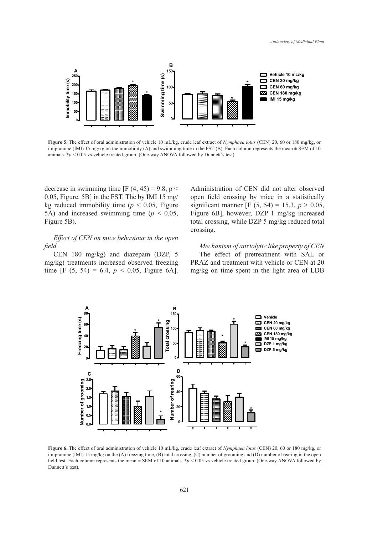

Figure 5. The effect of oral administration of vehicle 10 mL/kg, crude leaf extract of Nymphaea lotus (CEN) 20, 60 or 180 mg/kg, or imipramine (IMI) 15 mg/kg on the immobility (A) and swimming time in the FST (B). Each column represents the mean  $\pm$  SEM of 10 animals.  $*_p$  < 0.05 vs vehicle treated group. (One-way ANOVA followed by Dunnett's test).

decrease in swimming time  $[F(4, 45) = 9.8, p <$  Administration of CEN did not 0.05, Figure. 5B] in the FST. The by IMI 15 mg/ open field crossing by mice in kg reduced immobility time ( $p < 0.05$ , Figure significant manner [F (5, 54) = 3  $5A$ ) and increased swimming time  $(p < 0.05$ , Figure 6B], however, DZP 1 m Figure 5B).  $\frac{1}{5}$  mercused swimming.

*Effect of CEN on mice behaviour in the open field*

CEN 180 mg/kg) and diazepam (DZP, 5 mg/kg) treatments increased observed freezing time [F  $(5, 54) = 6.4$ ,  $p < 0.05$ , Figure 6A]. Administration of CEN did not alter observed open field crossing by mice in a statistically significant manner [F  $(5, 54) = 15.3, p > 0.05,$ Figure 6B], however, DZP 1 mg/kg increased total crossing, while DZP 5 mg/kg reduced total crossing.

*Mechanism of anxiolytic like property of CEN* The effect of pretreatment with SAL or PRAZ and treatment with vehicle or CEN at 20 mg/kg on time spent in the light area of LDB



Figure 6. The effect of oral administration of vehicle 10 mL/kg, crude leaf extract of *Nymphaea lotus* (CEN) 20, 60 or 180 mg/kg, or *Nymphamme* (*INII)* 15 mg/kg on the (A) reezing time, (B) total crossing, (C) number or grooming and (D) number or rearing in the open<br>field test. Each column represents the mean ± SEM of 10 animals. \**p* < 0.05 vs vehicl  $f$  total crossing time,  $\frac{1}{2}$  and  $\frac{1}{2}$  and  $\frac{1}{2}$  number of  $\frac{1}{2}$  number of  $\frac{1}{2}$  number of  $\frac{1}{2}$  and  $\frac{1}{2}$ imipramine (IMI) 15 mg/kg on the (A) freezing time, (B) total crossing, (C) number of grooming and (D) number of rearing in the open Dunnett´s test).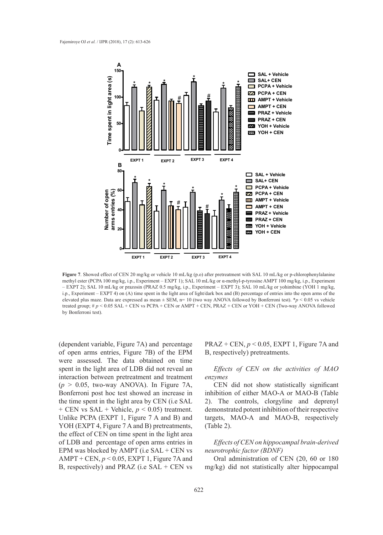

**Figure 7**. Showed effect of CEN 20 mg/kg or vehicle 10 mL/kg (p.o) after pretreatment with SAL 10 mL/kg or p-chlorophenylalanine methyl ester (PCPA 100 mg/kg, i.p., Experiment – EXPT 1); SAL 10 mL/kg or α-methyl-p-tyrosine AMPT 100 mg/kg, i.p., Experiment – EXPT 2); SAL 10 mL/kg or prazosin (PRAZ 0.5 mg/kg, i.p., Experiment – EXPT 3); SAL 10 mL/kg or yohimbine (YOH 1 mg/kg, i.p., Experiment – EXPT 4) on (A) time spent in the light area of light/dark box and (B) percentage of entries into the open arms of the elevated plus maze. Data are expressed as mean ± SEM, n= 10 (two way ANOVA followed by Bonferroni test). \**p* < 0.05 vs vehicle treated group; # *p* < 0.05 SAL + CEN vs PCPA + CEN or AMPT + CEN, PRAZ + CEN or YOH + CEN (Two-way ANOVA followed by Bonferroni test).

(dependent variable, Figure 7A) and percentage of open arms entries, Figure 7B) of the EPM were assessed. The data obtained on time spent in the light area of LDB did not reveal an interaction between pretreatment and treatment  $(p > 0.05,$  two-way ANOVA). In Figure 7A, Bonferroni post hoc test showed an increase in the time spent in the light area by CEN (i.e SAL + CEN vs SAL + Vehicle, *p* < 0.05) treatment. Unlike PCPA (EXPT 1, Figure 7 A and B) and YOH (EXPT 4, Figure 7 A and B) pretreatments, the effect of CEN on time spent in the light area of LDB and percentage of open arms entries in EPM was blocked by AMPT (i.e SAL + CEN vs AMPT + CEN, *p* < 0.05, EXPT 1, Figure 7A and B, respectively) and PRAZ (i.e SAL + CEN vs

PRAZ + CEN,  $p < 0.05$ , EXPT 1, Figure 7A and B, respectively) pretreatments.

*Effects of CEN on the activities of MAO enzymes*

CEN did not show statistically significant inhibition of either MAO-A or MAO-B (Table 2). The controls, clorgyline and deprenyl demonstrated potent inhibition of their respective targets, MAO-A and MAO-B, respectively (Table 2).

# *Effects of CEN on hippocampal brain-derived neurotrophic factor (BDNF)*

Oral administration of CEN (20, 60 or 180 mg/kg) did not statistically alter hippocampal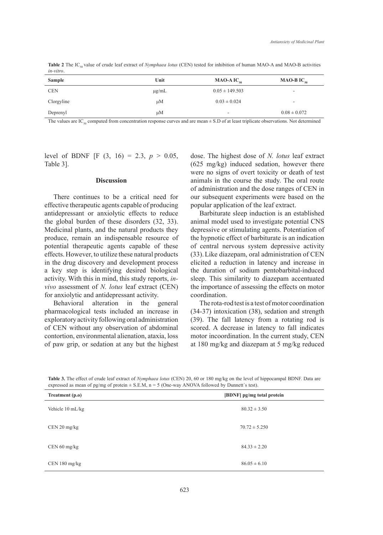**Table 2** The IC<sub>50</sub> value of crude leaf extract of *Nymphaea lotus* (CEN) tested for inhibition of human MAO-A and MAO-B activities *in-vitro*.

| <b>Sample</b> | Unit       | MAO-A $IC_{50}$    | MAO-B $IC_{50}$          |
|---------------|------------|--------------------|--------------------------|
| <b>CEN</b>    | $\mu$ g/mL | $0.05 \pm 149.503$ | $\overline{\phantom{a}}$ |
| Clorgyline    | $\mu$ M    | $0.03 \pm 0.024$   | $\overline{\phantom{a}}$ |
| Deprenyl      | $\mu$ M    | -                  | $0.08 \pm 0.072$         |

The values are IC<sub>50</sub> computed from concentration response curves and are mean  $\pm$  S.D of at least triplicate observations. Not determined

level of BDNF [F  $(3, 16) = 2.3, p > 0.05$ , Table 3].

#### **Discussion**

There continues to be a critical need for effective therapeutic agents capable of producing antidepressant or anxiolytic effects to reduce the global burden of these disorders (32, 33). Medicinal plants, and the natural products they produce, remain an indispensable resource of potential therapeutic agents capable of these effects. However, to utilize these natural products in the drug discovery and development process a key step is identifying desired biological activity. With this in mind, this study reports, *invivo* assessment of *N. lotus* leaf extract (CEN) for anxiolytic and antidepressant activity.

Behavioral alteration in the general pharmacological tests included an increase in exploratory activity following oral administration of CEN without any observation of abdominal contortion, environmental alienation, ataxia, loss of paw grip, or sedation at any but the highest dose. The highest dose of *N. lotus* leaf extract (625 mg/kg) induced sedation, however there were no signs of overt toxicity or death of test animals in the course the study. The oral route of administration and the dose ranges of CEN in our subsequent experiments were based on the popular application of the leaf extract.

Barbiturate sleep induction is an established animal model used to investigate potential CNS depressive or stimulating agents. Potentiation of the hypnotic effect of barbiturate is an indication of central nervous system depressive activity (33).Like diazepam, oral administration of CEN elicited a reduction in latency and increase in the duration of sodium pentobarbital-induced sleep. This similarity to diazepam accentuated the importance of assessing the effects on motor coordination.

The rota-rod test is a test of motor coordination (34-37) intoxication (38), sedation and strength (39). The fall latency from a rotating rod is scored. A decrease in latency to fall indicates motor incoordination. In the current study, CEN at 180 mg/kg and diazepam at 5 mg/kg reduced

**Table 3.** The effect of crude leaf extract of *Nymphaea lotus* (CEN) 20, 60 or 180 mg/kg on the level of hippocampal BDNF. Data are expressed as mean of pg/mg of protein  $\pm$  S.E.M, n = 5 (One-way ANOVA followed by Dunnett's test).

| Treatment (p.o)  | [BDNF] pg/mg total protein |  |
|------------------|----------------------------|--|
| Vehicle 10 mL/kg | $80.32 \pm 3.50$           |  |
| $CEN 20$ mg/kg   | $70.72 \pm 5.250$          |  |
| $CEN 60$ mg/kg   | $84.33 \pm 2.20$           |  |
| CEN 180 mg/kg    | $86.05 \pm 6.10$           |  |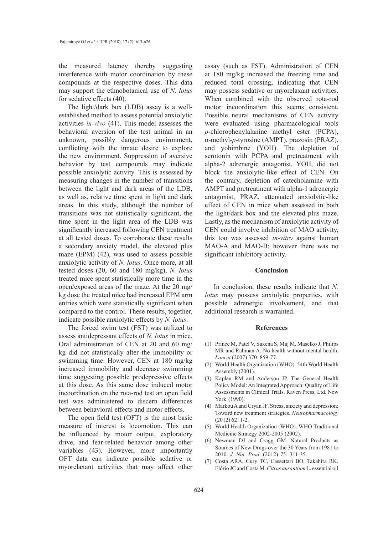the measured latency thereby suggesting interference with motor coordination by these compounds at the respective doses. This data may support the ethnobotanical use of *N. lotus* for sedative effects (40).

The light/dark box (LDB) assay is a wellestablished method to assess potential anxiolytic activities *in-vivo* (41). This model assesses the behavioral aversion of the test animal in an unknown, possibly dangerous environment, conflicting with the innate desire to explore the new environment. Suppression of aversive behavior by test compounds may indicate possible anxiolytic activity. This is assessed by measuring changes in the number of transitions between the light and dark areas of the LDB, as well as, relative time spent in light and dark areas. In this study, although the number of transitions was not statistically significant, the time spent in the light area of the LDB was significantly increased following CEN treatment at all tested doses. To corroborate these results a secondary anxiety model, the elevated plus maze (EPM) (42), was used to assess possible anxiolytic activity of *N. lotus*. Once more, at all tested doses (20, 60 and 180 mg/kg), *N. lotus* treated mice spent statistically more time in the open/exposed areas of the maze. At the 20 mg/ kg dose the treated mice had increased EPM arm entries which were statistically significant when compared to the control. These results, together, indicate possible anxiolytic effects by *N. lotus*.

The forced swim test (FST) was utilized to assess antidepressant effects of *N. lotus* in mice. Oral administration of CEN at 20 and 60 mg/ kg did not statistically alter the immobility or swimming time. However, CEN at 180 mg/kg increased immobility and decrease swimming time suggesting possible prodepressive effects at this dose. As this same dose induced motor incoordination on the rota-rod test an open field test was administered to discern differences between behavioral effects and motor effects.

The open field test (OFT) is the most basic measure of interest is locomotion. This can be influenced by motor output, exploratory drive, and fear-related behavior among other variables (43). However, more importantly OFT data can indicate possible sedative or myorelaxant activities that may affect other

assay (such as FST). Administration of CEN at 180 mg/kg increased the freezing time and reduced total crossing, indicating that CEN may possess sedative or myorelaxant activities. When combined with the observed rota-rod motor incoordination this seems consistent. Possible neural mechanisms of CEN activity were evaluated using pharmacological tools *p*-chlorophenylalanine methyl ester (PCPA), α-methyl-*p*-tyrosine (AMPT), prazosin (PRAZ), and yohimbine (YOH). The depletion of serotonin with PCPA and pretreatment with alpha-2 adrenergic antagonist, YOH, did not block the anxiolytic-like effect of CEN. On the contrary, depletion of catecholamine with AMPT and pretreatment with alpha-1 adrenergic antagonist, PRAZ, attenuated anxiolytic-like effect of CEN in mice when assessed in both the light/dark box and the elevated plus maze. Lastly, as the mechanism of anxiolytic activity of CEN could involve inhibition of MAO activity, this too was assessed *in-vitro* against human MAO-A and MAO-B; however there was no significant inhibitory activity.

#### **Conclusion**

In conclusion, these results indicate that *N. lotus* may possess anxiolytic properties, with possible adrenergic involvement, and that additional research is warranted.

#### **References**

- Prince M, Patel V, Saxena S, Maj M, Maselko J, Philips (1) MR and Rahman A. No health without mental health. *Lancet* (2007) 370: 859-77.
- World Health Organization (WHO). 54th World Health (2) Assembly (2001).
- (3) Kaplan RM and Anderson JP. The General Health Policy Model: An Integrated Approach: Quality of Life Assessments in Clinical Trials. Raven Press, Ltd. New York (1990).
- (4) Markou A and Cryan JF. Stress, anxiety and depression: Toward new treatment strategies. *Neuropharmacology* (2012) 62: 1-2.
- World Health Organization (WHO). WHO Traditional (5) Medicine Strategy 2002-2005 (2002).
- (6) Newman DJ and Cragg GM. Natural Products as Sources of New Drugs over the 30 Years from 1981 to 2010. *J. Nat. Prod.* (2012) 75: 311-35.
- Costa ARA, Cury TC, Cassettari BO, Takahira RK, (7)Flório JC and Costa M. *Citrus aurantium* L. essential oil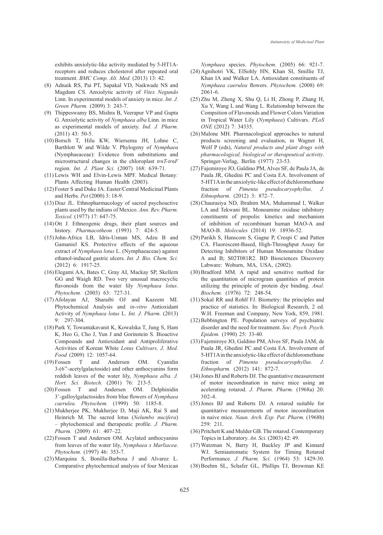exhibits anxiolytic-like activity mediated by 5-HT1Areceptors and reduces cholesterol after repeated oral treatment. *BMC Comp. Alt. Med.* (2013) 13: 42.

- Adnaik RS, Pai PT, Sapakal VD, Naikwade NS and (8) Magdum CS. Anxiolytic activity of *Vitex Negundo*  Linn. In experimental models of anxiety in mice. *Int. J. Green Pharm.* (2009) 3: 243-7.
- (9) Thippeswamy BS, Mishra B, Veerapur VP and Gupta G. Anxiolytic activity of *Nymphaea alba* Linn. in mice as experimental models of anxiety. *Ind. J. Pharm.*  (2011) 43: 50-5.
- Borsch T, Hilu KW, Wiersema JH, Lohne C, (10) Barthlott W and Wilde V. Phylogeny of *Nymphaea*  (Nymphaeaceae): Evidence from substitutions and microstructural changes in the chloroplast *trnT-trnF*  region. *Int. J. Plant Sci.* (2007) 168: 639-71.
- Lewis WH and Elvin-Lewis MPF. Medical Botany*:*  (11) Plants Affecting Human Health (2003).
- Foster S and Duke JA. Easter/Central Medicinal Plants (12) and Herbs. *Pet* (2000) 3: 18-9.
- (13) Diaz JL. Ethnopharmacology of sacred psychoactive plants used by the indians of Mexico. *Ann. Rev. Pharm. Toxicol.* (1977) 17: 647-75.
- $(14)$  Ott J. Ethneogenic drugs, their plant sources and history. *Pharmacotheon* (1993) 7: 424-5.
- (15) John-Africa LB, Idris-Usman MS, Adzu B and Gamaniel KS. Protective effects of the aqueous extract of *Nymphaea lotus* L. (Nymphaeaceae) against ethanol-induced gastric ulcers. *Int. J. Bio. Chem. Sci.* (2012) 6: 1917-25.
- Elegami AA, Bates C, Gray AI, Mackay SP, Skellern (16) GG and Waigh RD. Two very unusual macrocyclic flavonoids from the water lily *Nymphaea lotus*. *Phytochem.* (2003) 63: 727-31.
- Afolayan AJ, Sharaibi OJ and Kazeem MI. (17) Phytochemical Analysis and *in-vitro* Antioxidant Activity of *Nymphaea lotus* L. *Int. J. Pharm.* (2013) 9: 297-304.
- Park Y, Towantakavanit K, Kowalska T, Jung S, Ham (18) K, Heo G, Cho J, Yun J and Gorinstein S. Bioactive Compounds and Antioxidant and Antiproliferative Activities of Korean White *Lotus Cultivars*. *J. Med. Food* (2009) 12: 1057-64.
- T and Andersen OM. Cyanidin 3-(6''-acetylgalactoside) and other anthocyanins form reddish leaves of the water lily, *Nymphaea alba. J. Hort. Sci. Biotech.* (2001) 76: 213-5.  $(19)$  Fossen
- (20) Fossen T and Andersen OM. Delphinidin 3'-galloylgalactosides from blue flowers of *Nymphaea caerulea. Phytochem.* (1999) 50: 1185-8.
- (21) Mukherjee PK, Mukherjee D, Maji AK, Rai S and Heinrich M. The sacred lotus (*Nelumbo nucifera*) – phytochemical and therapeutic profile. *J. Pharm. Pharm.* (2009) 61: 407–22.
- $(22)$  Fossen T and Andersen OM. Acylated anthocyanins from leaves of the water lily, *Nymphaea x Marliacea*. *Phytochem.* (1997) 46: 353-7.
- Marquina S, Bonilla-Barbosa J and Alvarez L. (23) Comparative phytochemical analysis of four Mexican

*Nymphaea* species. *Phytochem.* (2005) 66: 921-7.

- (24) Agnihotri VK, ElSohly HN, Khan SI, Smillie TJ, Khan IA and Walker LA. Antioxidant constituents of *Nymphaea caerulea* flowers. *Phytochem.* (2008) 69: 2061-6.
- $(25)$  Zhu M, Zheng X, Shu Q, Li H, Zhong P, Zhang H, Xu Y, Wang L and Wang L. Relationship between the Compsition of Flavonoids and Flower Colors Variation in Tropical Water Lily (*Nymphaea*) Cultivars. *PLoS ONE* (2012) 7: 34335.
- (26) Malone MH. Pharmacological approaches to natural products screening and evaluation, in Wagner H, Wolf P (eds), *Natural products and plant drugs with pharmacological, biological or therapeutical activity*. Springer-Verlag, Berlin (1977) 23-53.
- Fajemiroye JO, Galdino PM, Alves SF, de Paula JA, de (27) Paula JR, Ghedini PC and Costa EA. Involvement of 5-HT1A in the anxiolytic-like effect of dichloromethane fraction of *Pimenta pseudocaryophyllus*. *J. Ethnopharm.* (2012) 3: 872–7.
- (28) Chaurasiya ND, Ibrahim MA, Muhammad I, Walker LA and Tekwani BL. Monoamine oxidase inhibitory constituents of propolis: kinetics and mechanism of inhibition of recombinant human MAO-A and MAO-B. *Molecules* (2014) 19: 18936-52.
- (29) Parikh S, Hanscom S, Gagne P, Crespi C and Patten CA. Fluorescent-Based, High-Throughput Assay for Detecting Inhibitors of Human Monoamine Oxidase A and B; S02T081R2. BD Biosciences Discovery Labware: Woburn, MA, USA, (2002).
- $(30)$  Bradford MM. A rapid and sensitive method for the quantitation of microgram quantities of protein utilizing the principle of protein dye binding. *Anal. Biochem.* (1976) 72: 248-54.
- (31) Sokal RR and Rohlf FJ. Biometry: the principles and practice of statistics. In: Biological Research, 2 ed. W.H. Freeman and Company, New York, 859, 1981.
- (32) Bebbington PE. Population surveys of psychiatric disorder and the need for treatment. *Soc. Psych. Psych. Epidem.* (1990) 25: 33-40.
- Fajemiroye JO, Galdino PM, Alves SF, Paula JAM, de (33) Paula JR, Ghedini PC and Costa EA. Involvement of 5-HT1A in the anxiolytic-like effect of dichloromethane fraction of *Pimenta pseudocaryophyllus. J. Ethnopharm.* (2012) 141: 872-7.
- (34) Jones BJ and Roberts DJ. The quantiative measurement of motor incoordination in naive mice using an acelerating rotarod. *J. Pharm. Pharm.* (1968a) 20: 302-4.
- (35) Jones BJ and Roberts DJ. A rotarod suitable for quantitative measurements of motor incoordination in naive mice. *Naun. Arch. Exp. Pat. Pharm.* (1968b) 259: 211.
- (36) Pritchett K and Mulder GB. The rotarod. Contemporary Topics in Laboratory. *An. Sci.* (2003) 42: 49.
- Watzman N, Barry H, Buckley JP and Kinnard (37) WJ. Semiautomatic System for Timing Rotarod Performance. *J. Pharm. Sci.* (1964) 53: 1429-30.
- (38) Boehm SL, Schafer GL, Phillips TJ, Browman KE